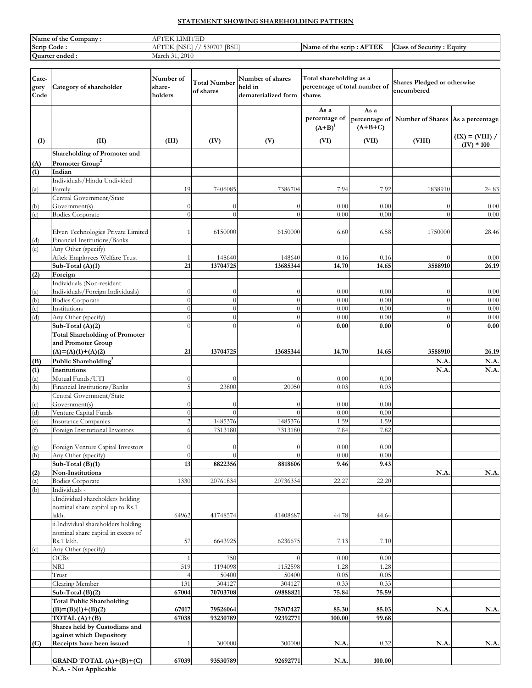# STATEMENT SHOWING SHAREHOLDING PATTERN

| Name<br>Company<br>e of the | <b>A MALES CONTRACTOR</b><br>$\blacksquare$                 |                                                |                                         |
|-----------------------------|-------------------------------------------------------------|------------------------------------------------|-----------------------------------------|
| Scrip<br>Code :             | <b>IBSE</b><br>$  -$<br>ا اک<br>`<br>$\mathbf{H}$<br>$\sim$ | <b><i>NFTEK</i></b><br>Name of the scrip<br>AF | $\sim$<br>. Equity<br>class of Security |
| Quarter ended .             | 2010<br>March                                               |                                                |                                         |

| Cate-<br>gory<br>Code | Category of shareholder                                                                | Number of<br>share-<br>holders | <b>Total Number</b><br>of shares | Number of shares<br>held in<br>dematerialized form | Total shareholding as a<br>percentage of total number of<br>shares |                   | Shares Pledged or otherwise<br>encumbered      |                                   |
|-----------------------|----------------------------------------------------------------------------------------|--------------------------------|----------------------------------|----------------------------------------------------|--------------------------------------------------------------------|-------------------|------------------------------------------------|-----------------------------------|
|                       |                                                                                        |                                |                                  |                                                    | As a<br>percentage of<br>$(A+B)^1$                                 | As a<br>$(A+B+C)$ | percentage of Number of Shares As a percentage |                                   |
| (I)                   | (II)                                                                                   | (III)                          | (IV)                             | (V)                                                | (VI)                                                               | (VII)             | (VIII)                                         | $(IX) = (VIII) /$<br>$(IV) * 100$ |
|                       | Shareholding of Promoter and                                                           |                                |                                  |                                                    |                                                                    |                   |                                                |                                   |
| (A)<br>(1)            | Promoter Group <sup>2</sup><br>Indian                                                  |                                |                                  |                                                    |                                                                    |                   |                                                |                                   |
|                       | Individuals/Hindu Undivided                                                            |                                |                                  |                                                    |                                                                    |                   |                                                |                                   |
| (a)                   | Family                                                                                 | 19                             | 7406085                          | 7386704                                            | 7.94                                                               | 7.92              | 1838910                                        | 24.83                             |
|                       | Central Government/State                                                               |                                |                                  |                                                    |                                                                    |                   |                                                |                                   |
| (b)<br>(c)            | Government(s)<br><b>Bodies Corporate</b>                                               | $\bigcap$<br>$\Omega$          | $\theta$<br>$\theta$             | $\Omega$<br>$\theta$                               | 0.00<br>0.00                                                       | 0.00<br>0.00      | $\theta$<br>$\theta$                           | 0.00<br>0.00                      |
|                       |                                                                                        |                                |                                  |                                                    |                                                                    |                   |                                                |                                   |
|                       | Elven Technologies Private Limited                                                     |                                | 6150000                          | 6150000                                            | 6.60                                                               | 6.58              | 1750000                                        | 28.46                             |
| (d)                   | Financial Institutions/Banks                                                           |                                |                                  |                                                    |                                                                    |                   |                                                |                                   |
| (e)                   | Any Other (specify)<br>Aftek Employees Welfare Trust                                   |                                | 148640                           | 148640                                             | 0.16                                                               | 0.16              | $\theta$                                       | 0.00                              |
|                       | Sub-Total (A)(1)                                                                       | 21                             | 13704725                         | 13685344                                           | 14.70                                                              | 14.65             | 3588910                                        | 26.19                             |
| (2)                   | Foreign                                                                                |                                |                                  |                                                    |                                                                    |                   |                                                |                                   |
|                       | Individuals (Non-resident                                                              |                                |                                  |                                                    |                                                                    |                   |                                                |                                   |
| (a)<br>(b)            | Individuals/Foreign Individuals)<br><b>Bodies Corporate</b>                            | $\theta$                       | $\Omega$<br>$\Omega$             | $\theta$<br>$\theta$                               | 0.00<br>0.00                                                       | 0.00<br>0.00      | $\Omega$<br>$\overline{0}$                     | 0.00<br>0.00                      |
| (c)                   | Institutions                                                                           | $\theta$                       | $\Omega$                         | $\theta$                                           | 0.00                                                               | 0.00              | $\theta$                                       | 0.00                              |
| (d)                   | Any Other (specify)                                                                    | $\Omega$                       | $\Omega$                         | $\overline{0}$                                     | 0.00                                                               | 0.00              | $\theta$                                       | 0.00                              |
|                       | Sub-Total (A)(2)                                                                       | $\Omega$                       | $\Omega$                         | $\theta$                                           | 0.00                                                               | 0.00              | $\bf{0}$                                       | 0.00                              |
|                       | <b>Total Shareholding of Promoter</b><br>and Promoter Group                            |                                |                                  |                                                    |                                                                    |                   |                                                |                                   |
|                       | $(A)=(A)(1)+(A)(2)$                                                                    | 21                             | 13704725                         | 13685344                                           | 14.70                                                              | 14.65             | 3588910                                        | 26.19                             |
| (B)                   | Public Shareholding <sup>3</sup>                                                       |                                |                                  |                                                    |                                                                    |                   | N.A                                            | N.A.                              |
| (1)                   | Institutions                                                                           |                                |                                  |                                                    |                                                                    |                   | N.A                                            | N.A.                              |
| (a)                   | Mutual Funds/UTI                                                                       | $\Omega$                       | $\Omega$                         | $\Omega$                                           | 0.00                                                               | 0.00              |                                                |                                   |
| $\overline{d}$        | Financial Institutions/Banks<br>Central Government/State                               | 5                              | 23800                            | 20050                                              | 0.03                                                               | 0.03              |                                                |                                   |
| (c)                   | Government(s)                                                                          | 0                              | $\theta$                         | $\Omega$                                           | 0.00                                                               | 0.00              |                                                |                                   |
| (d)                   | Venture Capital Funds                                                                  | $\theta$                       | $\Omega$                         | $\Omega$                                           | 0.00                                                               | 0.00              |                                                |                                   |
| (e)                   | <b>Insurance Companies</b>                                                             | $\overline{2}$                 | 1485376                          | 1485376                                            | 1.59                                                               | 1.59              |                                                |                                   |
| (f)                   | Foreign Institutional Investors                                                        | 6                              | 7313180                          | 7313180                                            | 7.84                                                               | 7.82              |                                                |                                   |
|                       | Foreign Venture Capital Investors                                                      | $\bigcap$                      | $\Omega$                         | $\Omega$                                           | 0.00                                                               | 0.00              |                                                |                                   |
| $\frac{g}{h}$         | Any Other (specify)                                                                    | $\theta$                       | $\Omega$                         | $\theta$                                           | 0.00                                                               | 0.00              |                                                |                                   |
|                       | Sub-Total $(B)(1)$                                                                     | 13                             | 8822356                          | 8818606                                            | 9.46                                                               | 9.43              |                                                |                                   |
| (2)                   | Non-Institutions<br><b>Bodies Corporate</b>                                            | 1330                           | 20761834                         | 20736334                                           | 22.27                                                              | 22.20             | N.A                                            | N.A.                              |
| $\frac{a}{b}$         | Individuals -                                                                          |                                |                                  |                                                    |                                                                    |                   |                                                |                                   |
|                       | i.Individual shareholders holding<br>nominal share capital up to Rs.1                  |                                |                                  | 41408687                                           |                                                                    |                   |                                                |                                   |
|                       | lakh.<br>ii.Individual shareholders holding                                            | 64962                          | 41748574                         |                                                    | 44.78                                                              | 44.64             |                                                |                                   |
|                       | nominal share capital in excess of<br>Rs.1 lakh.                                       | 57                             | 6643925                          | 6236675                                            | 7.13                                                               | 7.10              |                                                |                                   |
| (c)                   | Any Other (specify)<br><b>OCBs</b>                                                     |                                | 750                              | $\theta$                                           |                                                                    |                   |                                                |                                   |
|                       | <b>NRI</b>                                                                             | 519                            | 1194098                          | 1152598                                            | 0.00<br>1.28                                                       | 0.00<br>1.28      |                                                |                                   |
|                       | Trust                                                                                  |                                | 50400                            | 50400                                              | 0.05                                                               | 0.05              |                                                |                                   |
|                       | Clearing Member                                                                        | 131                            | 304127                           | 304127                                             | 0.33                                                               | 0.33              |                                                |                                   |
|                       | Sub-Total (B)(2)                                                                       | 67004                          | 70703708                         | 69888821                                           | 75.84                                                              | 75.59             |                                                |                                   |
|                       | <b>Total Public Shareholding</b><br>$(B)=(B)(1)+(B)(2)$                                | 67017                          | 79526064                         | 78707427                                           | 85.30                                                              | 85.03             | N.A.                                           | N.A.                              |
|                       | TOTAL $(A)+(B)$                                                                        | 67038                          | 93230789                         | 92392771                                           | 100.00                                                             | 99.68             |                                                |                                   |
| (C)                   | Shares held by Custodians and<br>against which Depository<br>Receipts have been issued | $\mathbf{1}$                   | 300000                           | 300000                                             | N.A.                                                               | 0.32              | N.A.                                           | N.A.                              |
|                       | GRAND TOTAL $(A)+(B)+(C)$                                                              | 67039                          | 93530789                         | 92692771                                           | N.A.                                                               | 100.00            |                                                |                                   |

N.A. - Not Applicable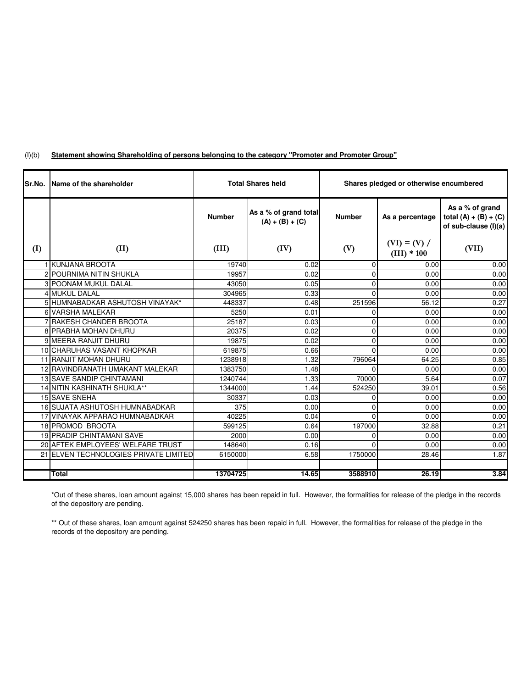#### $(I)(b)$ **Statement showing Shareholding of persons belonging to the category "Promoter and Promoter Group"**

| <b>Sr.No.</b> | <b>IName of the shareholder</b>       | <b>Total Shares held</b> |                                            | Shares pledged or otherwise encumbered |                                 |                                                                    |
|---------------|---------------------------------------|--------------------------|--------------------------------------------|----------------------------------------|---------------------------------|--------------------------------------------------------------------|
|               |                                       | <b>Number</b>            | As a % of grand total<br>$(A) + (B) + (C)$ | <b>Number</b>                          | As a percentage                 | As a % of grand<br>total $(A) + (B) + (C)$<br>of sub-clause (I)(a) |
| (I)           | (II)                                  | (III)                    | (IV)                                       | (V)                                    | $(VI) = (V) /$<br>$(III) * 100$ | (VII)                                                              |
|               | 1 KUNJANA BROOTA                      | 19740                    | 0.02                                       | $\overline{0}$                         | 0.00                            | 0.00                                                               |
|               | 2 POURNIMA NITIN SHUKLA               | 19957                    | 0.02                                       | $\overline{0}$                         | 0.00                            | 0.00                                                               |
|               | <b>3 POONAM MUKUL DALAL</b>           | 43050                    | 0.05                                       | $\overline{0}$                         | 0.00                            | 0.00                                                               |
|               | <b>4 MUKUL DALAL</b>                  | 304965                   | 0.33                                       | $\Omega$                               | 0.00                            | 0.00                                                               |
|               | 5 HUMNABADKAR ASHUTOSH VINAYAK*       | 448337                   | 0.48                                       | 251596                                 | 56.12                           | 0.27                                                               |
|               | 6 VARSHA MALEKAR                      | 5250                     | 0.01                                       | 0                                      | 0.00                            | 0.00                                                               |
|               | 7 RAKESH CHANDER BROOTA               | 25187                    | 0.03                                       | $\overline{0}$                         | 0.00                            | 0.00                                                               |
|               | 8 PRABHA MOHAN DHURU                  | 20375                    | 0.02                                       | $\overline{0}$                         | 0.00                            | 0.00                                                               |
|               | 9 MEERA RANJIT DHURU                  | 19875                    | 0.02                                       | $\overline{0}$                         | 0.00                            | 0.00                                                               |
|               | 10 CHARUHAS VASANT KHOPKAR            | 619875                   | 0.66                                       | $\Omega$                               | 0.00                            | 0.00                                                               |
|               | 11 RANJIT MOHAN DHURU                 | 1238918                  | 1.32                                       | 796064                                 | 64.25                           | 0.85                                                               |
|               | 12 RAVINDRANATH UMAKANT MALEKAR       | 1383750                  | 1.48                                       | 0                                      | 0.00                            | 0.00                                                               |
|               | <b>13 SAVE SANDIP CHINTAMANI</b>      | 1240744                  | 1.33                                       | 70000                                  | 5.64                            | 0.07                                                               |
|               | 14 NITIN KASHINATH SHUKLA**           | 1344000                  | 1.44                                       | 524250                                 | 39.01                           | 0.56                                                               |
|               | <b>15 SAVE SNEHA</b>                  | 30337                    | 0.03                                       | $\Omega$                               | 0.00                            | 0.00                                                               |
|               | 16 SUJATA ASHUTOSH HUMNABADKAR        | 375                      | 0.00                                       | $\overline{0}$                         | 0.00                            | 0.00                                                               |
|               | 17 VINAYAK APPARAO HUMNABADKAR        | 40225                    | 0.04                                       | $\Omega$                               | 0.00                            | 0.00                                                               |
|               | 18 PROMOD BROOTA                      | 599125                   | 0.64                                       | 197000                                 | 32.88                           | 0.21                                                               |
|               | <b>19 PRADIP CHINTAMANI SAVE</b>      | 2000                     | 0.00                                       | 0                                      | 0.00                            | 0.00                                                               |
|               | 20 AFTEK EMPLOYEES' WELFARE TRUST     | 148640                   | 0.16                                       | $\Omega$                               | 0.00                            | 0.00                                                               |
|               | 21 ELVEN TECHNOLOGIES PRIVATE LIMITED | 6150000                  | 6.58                                       | 1750000                                | 28.46                           | 1.87                                                               |
|               |                                       |                          |                                            |                                        |                                 |                                                                    |
|               | <b>Total</b>                          | 13704725                 | 14.65                                      | 3588910                                | 26.19                           | 3.84                                                               |

\*Out of these shares, loan amount against 15,000 shares has been repaid in full. However, the formalities for release of the pledge in the records of the depository are pending.

\*\* Out of these shares, loan amount against 524250 shares has been repaid in full. However, the formalities for release of the pledge in the records of the depository are pending.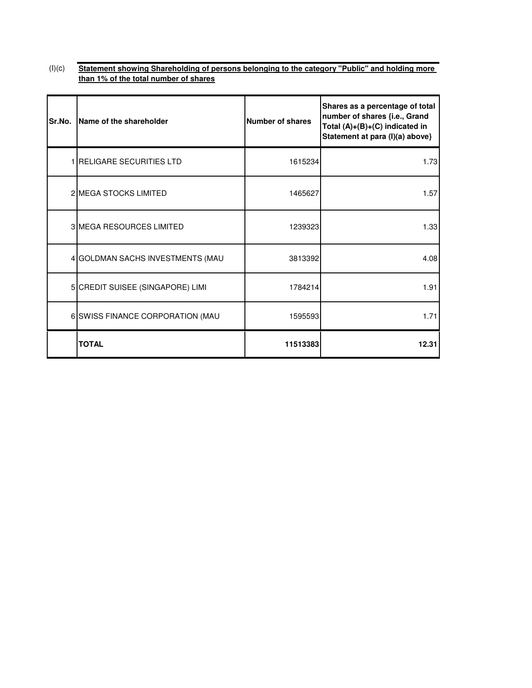### $(I)(c)$ **Statement showing Shareholding of persons belonging to the category "Public" and holding more than 1% of the total number of shares**

| Sr.No. | Name of the shareholder           | <b>Number of shares</b> | Shares as a percentage of total<br>number of shares {i.e., Grand<br>Total (A)+(B)+(C) indicated in<br>Statement at para (I)(a) above} |
|--------|-----------------------------------|-------------------------|---------------------------------------------------------------------------------------------------------------------------------------|
|        | <b>1 IRELIGARE SECURITIES LTD</b> | 1615234                 | 1.73                                                                                                                                  |
|        | 2 MEGA STOCKS LIMITED             | 1465627                 | 1.57                                                                                                                                  |
|        | 3 MEGA RESOURCES LIMITED          | 1239323                 | 1.33                                                                                                                                  |
|        | 4 GOLDMAN SACHS INVESTMENTS (MAU  | 3813392                 | 4.08                                                                                                                                  |
|        | 5 CREDIT SUISEE (SINGAPORE) LIMI  | 1784214                 | 1.91                                                                                                                                  |
|        | 6 SWISS FINANCE CORPORATION (MAU  | 1595593                 | 1.71                                                                                                                                  |
|        | <b>TOTAL</b>                      | 11513383                | 12.31                                                                                                                                 |